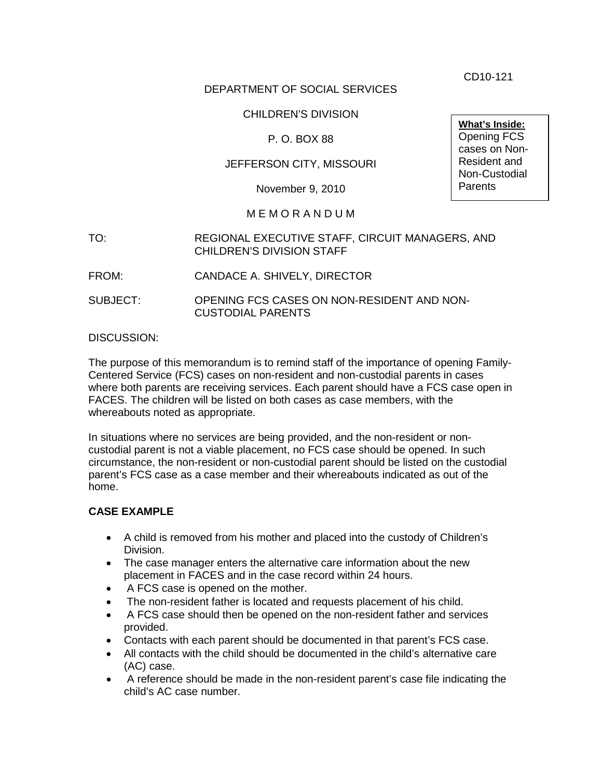CD10-121

# DEPARTMENT OF SOCIAL SERVICES

# CHILDREN'S DIVISION

## P. O. BOX 88

## JEFFERSON CITY, MISSOURI

November 9, 2010

#### M E M O R A N D U M

- TO: REGIONAL EXECUTIVE STAFF, CIRCUIT MANAGERS, AND CHILDREN'S DIVISION STAFF
- FROM: CANDACE A. SHIVELY, DIRECTOR
- SUBJECT: OPENING FCS CASES ON NON-RESIDENT AND NON-CUSTODIAL PARENTS

#### DISCUSSION:

The purpose of this memorandum is to remind staff of the importance of opening Family-Centered Service (FCS) cases on non-resident and non-custodial parents in cases where both parents are receiving services. Each parent should have a FCS case open in FACES. The children will be listed on both cases as case members, with the whereabouts noted as appropriate.

In situations where no services are being provided, and the non-resident or noncustodial parent is not a viable placement, no FCS case should be opened. In such circumstance, the non-resident or non-custodial parent should be listed on the custodial parent's FCS case as a case member and their whereabouts indicated as out of the home.

#### **CASE EXAMPLE**

- A child is removed from his mother and placed into the custody of Children's Division.
- The case manager enters the alternative care information about the new placement in FACES and in the case record within 24 hours.
- A FCS case is opened on the mother.
- The non-resident father is located and requests placement of his child.
- A FCS case should then be opened on the non-resident father and services provided.
- Contacts with each parent should be documented in that parent's FCS case.
- All contacts with the child should be documented in the child's alternative care (AC) case.
- A reference should be made in the non-resident parent's case file indicating the child's AC case number.

**What's Inside:** Opening FCS cases on Non-Resident and Non-Custodial **Parents**